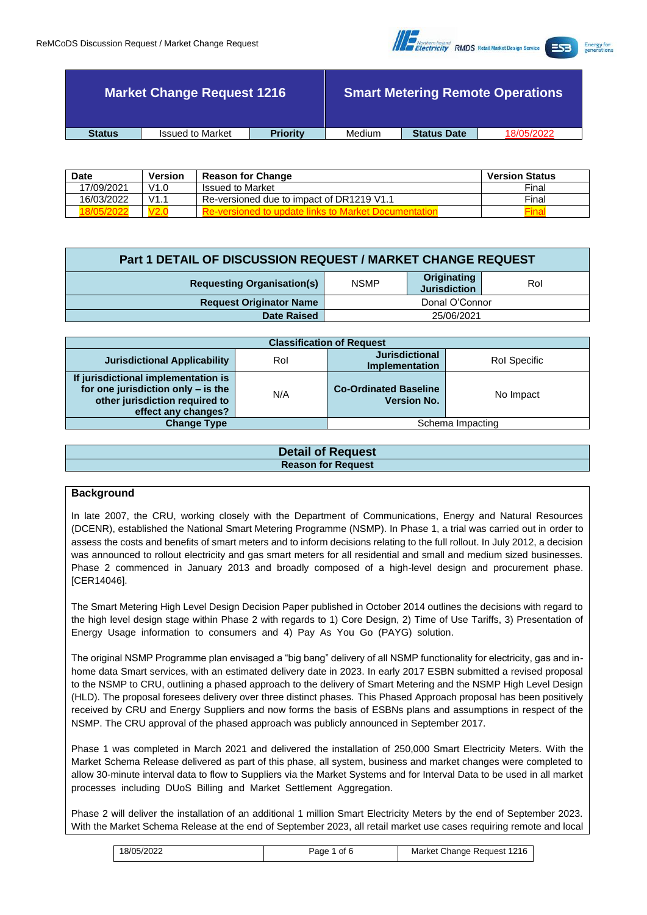

|               | <b>Market Change Request 1216</b> |                 |        |                    | <b>Smart Metering Remote Operations</b> |
|---------------|-----------------------------------|-----------------|--------|--------------------|-----------------------------------------|
| <b>Status</b> | <b>Issued to Market</b>           | <b>Priority</b> | Medium | <b>Status Date</b> | 18/05/2022                              |
|               |                                   |                 |        |                    |                                         |

| <b>Date</b> | <b>Version</b> | <b>Reason for Change</b>                  | <b>Version Status</b> |
|-------------|----------------|-------------------------------------------|-----------------------|
| 17/09/2021  | V1.0           | <b>Issued to Market</b>                   | Final                 |
| 16/03/2022  | V1.            | Re-versioned due to impact of DR1219 V1.1 | Final                 |
|             |                |                                           |                       |

| <b>Part 1 DETAIL OF DISCUSSION REQUEST / MARKET CHANGE REQUEST</b> |                |                                    |     |
|--------------------------------------------------------------------|----------------|------------------------------------|-----|
| <b>Requesting Organisation(s)</b>                                  | <b>NSMP</b>    | Originating<br><b>Jurisdiction</b> | Rol |
| <b>Request Originator Name</b>                                     | Donal O'Connor |                                    |     |
| <b>Date Raised</b><br>25/06/2021                                   |                |                                    |     |

| <b>Classification of Request</b>                                                                                                   |     |                                                    |                  |
|------------------------------------------------------------------------------------------------------------------------------------|-----|----------------------------------------------------|------------------|
| <b>Jurisdictional Applicability</b>                                                                                                | Rol | <b>Jurisdictional</b><br><b>Implementation</b>     | Rol Specific     |
| If jurisdictional implementation is<br>for one jurisdiction only - is the<br>other jurisdiction required to<br>effect any changes? | N/A | <b>Co-Ordinated Baseline</b><br><b>Version No.</b> | No Impact        |
| <b>Change Type</b>                                                                                                                 |     |                                                    | Schema Impacting |

| <b>Detail of Request</b>  |
|---------------------------|
| <b>Reason for Request</b> |
|                           |

## **Background**

In late 2007, the CRU, working closely with the Department of Communications, Energy and Natural Resources (DCENR), established the National Smart Metering Programme (NSMP). In Phase 1, a trial was carried out in order to assess the costs and benefits of smart meters and to inform decisions relating to the full rollout. In July 2012, a decision was announced to rollout electricity and gas smart meters for all residential and small and medium sized businesses. Phase 2 commenced in January 2013 and broadly composed of a high-level design and procurement phase. [CER14046].

The Smart Metering High Level Design Decision Paper published in October 2014 outlines the decisions with regard to the high level design stage within Phase 2 with regards to 1) Core Design, 2) Time of Use Tariffs, 3) Presentation of Energy Usage information to consumers and 4) Pay As You Go (PAYG) solution.

The original NSMP Programme plan envisaged a "big bang" delivery of all NSMP functionality for electricity, gas and inhome data Smart services, with an estimated delivery date in 2023. In early 2017 ESBN submitted a revised proposal to the NSMP to CRU, outlining a phased approach to the delivery of Smart Metering and the NSMP High Level Design (HLD). The proposal foresees delivery over three distinct phases. This Phased Approach proposal has been positively received by CRU and Energy Suppliers and now forms the basis of ESBNs plans and assumptions in respect of the NSMP. The CRU approval of the phased approach was publicly announced in September 2017.

Phase 1 was completed in March 2021 and delivered the installation of 250,000 Smart Electricity Meters. With the Market Schema Release delivered as part of this phase, all system, business and market changes were completed to allow 30-minute interval data to flow to Suppliers via the Market Systems and for Interval Data to be used in all market processes including DUoS Billing and Market Settlement Aggregation.

Phase 2 will deliver the installation of an additional 1 million Smart Electricity Meters by the end of September 2023. With the Market Schema Release at the end of September 2023, all retail market use cases requiring remote and local

| 18/05/2022 | ิof t<br>Page | Market Change Request 1216 |
|------------|---------------|----------------------------|
|------------|---------------|----------------------------|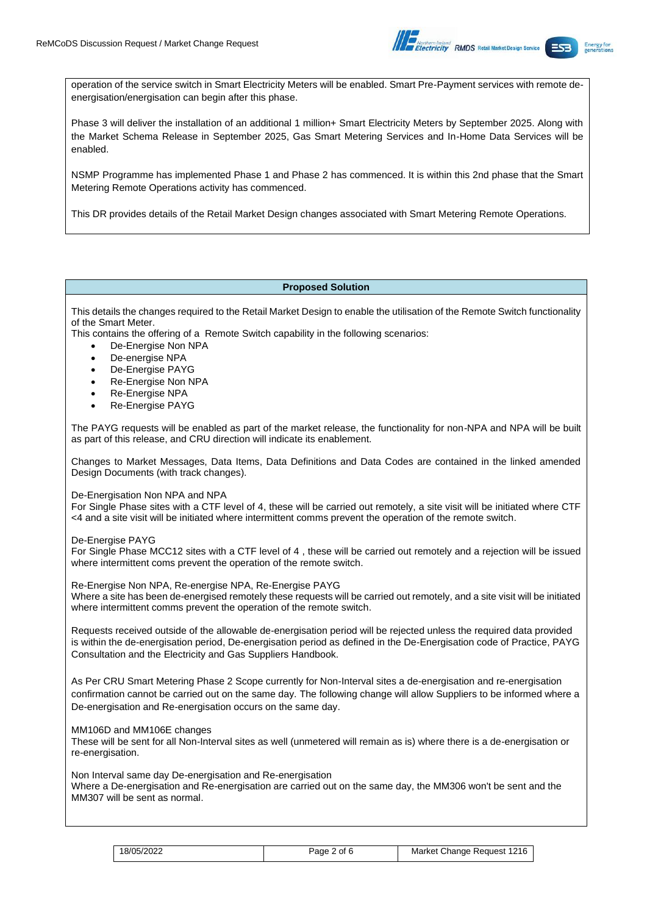

operation of the service switch in Smart Electricity Meters will be enabled. Smart Pre-Payment services with remote deenergisation/energisation can begin after this phase.

Phase 3 will deliver the installation of an additional 1 million+ Smart Electricity Meters by September 2025. Along with the Market Schema Release in September 2025, Gas Smart Metering Services and In-Home Data Services will be enabled.

NSMP Programme has implemented Phase 1 and Phase 2 has commenced. It is within this 2nd phase that the Smart Metering Remote Operations activity has commenced.

This DR provides details of the Retail Market Design changes associated with Smart Metering Remote Operations.

### **Proposed Solution**

This details the changes required to the Retail Market Design to enable the utilisation of the Remote Switch functionality of the Smart Meter.

This contains the offering of a Remote Switch capability in the following scenarios:

- De-Energise Non NPA
- De-energise NPA
- De-Energise PAYG
- Re-Energise Non NPA
- Re-Energise NPA
- Re-Energise PAYG

The PAYG requests will be enabled as part of the market release, the functionality for non-NPA and NPA will be built as part of this release, and CRU direction will indicate its enablement.

Changes to Market Messages, Data Items, Data Definitions and Data Codes are contained in the linked amended Design Documents (with track changes).

De-Energisation Non NPA and NPA

For Single Phase sites with a CTF level of 4, these will be carried out remotely, a site visit will be initiated where CTF <4 and a site visit will be initiated where intermittent comms prevent the operation of the remote switch.

De-Energise PAYG

For Single Phase MCC12 sites with a CTF level of 4 , these will be carried out remotely and a rejection will be issued where intermittent coms prevent the operation of the remote switch.

Re-Energise Non NPA, Re-energise NPA, Re-Energise PAYG

Where a site has been de-energised remotely these requests will be carried out remotely, and a site visit will be initiated where intermittent comms prevent the operation of the remote switch.

Requests received outside of the allowable de-energisation period will be rejected unless the required data provided is within the de-energisation period, De-energisation period as defined in the De-Energisation code of Practice, PAYG Consultation and the Electricity and Gas Suppliers Handbook.

As Per CRU Smart Metering Phase 2 Scope currently for Non-Interval sites a de-energisation and re-energisation confirmation cannot be carried out on the same day. The following change will allow Suppliers to be informed where a De-energisation and Re-energisation occurs on the same day.

MM106D and MM106E changes

These will be sent for all Non-Interval sites as well (unmetered will remain as is) where there is a de-energisation or re-energisation.

Non Interval same day De-energisation and Re-energisation

Where a De-energisation and Re-energisation are carried out on the same day, the MM306 won't be sent and the MM307 will be sent as normal.

| 18/05/2022 | Page 2 of 6 | Market Change Request 1216 |
|------------|-------------|----------------------------|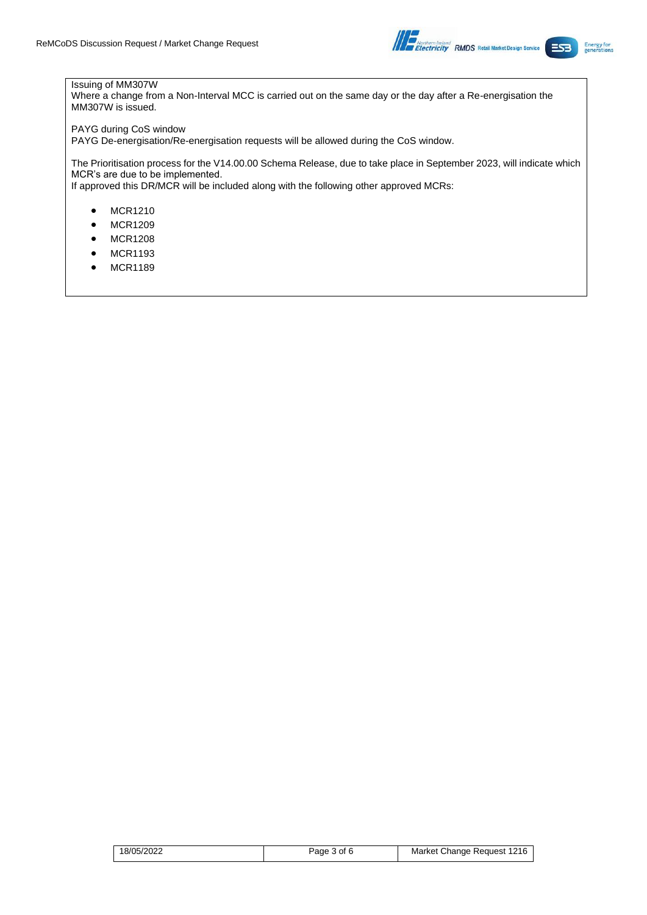

## Issuing of MM307W

Where a change from a Non-Interval MCC is carried out on the same day or the day after a Re-energisation the MM307W is issued.

## PAYG during CoS window

PAYG De-energisation/Re-energisation requests will be allowed during the CoS window.

The Prioritisation process for the V14.00.00 Schema Release, due to take place in September 2023, will indicate which MCR's are due to be implemented. If approved this DR/MCR will be included along with the following other approved MCRs:

- MCR1210
- MCR1209
- MCR1208
- MCR1193
- MCR1189

| 18/05/2022 | Page 3 of 6 | Market Change Request 1216 |  |
|------------|-------------|----------------------------|--|
|------------|-------------|----------------------------|--|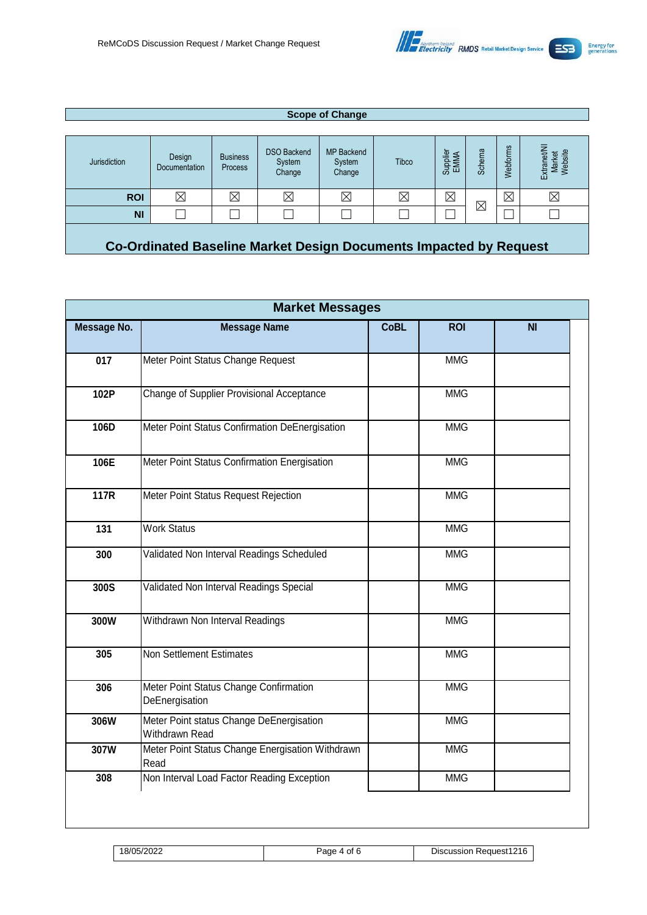

#### **Scope of Change** Jurisdiction Design Documentation Business Process DSO Backend System **Change** MP Backend System **Change** Tibco Supplier EMMA Schema Webforms Extranet/NI Market Website **ROI** 図 図 図 図 図 図 図 図 図  $\boxtimes$ NI| □ │ □ │ □ │ □ │ □ │ □ │ □ │ □ │ □

**Co-Ordinated Baseline Market Design Documents Impacted by Request**

| Message No. | <b>Message Name</b>                                        | <b>CoBL</b> | <b>ROI</b> | <b>NI</b> |
|-------------|------------------------------------------------------------|-------------|------------|-----------|
| 017         | Meter Point Status Change Request                          |             | <b>MMG</b> |           |
| 102P        | Change of Supplier Provisional Acceptance                  |             | <b>MMG</b> |           |
| 106D        | Meter Point Status Confirmation DeEnergisation             |             | <b>MMG</b> |           |
| 106E        | Meter Point Status Confirmation Energisation               |             | <b>MMG</b> |           |
| 117R        | Meter Point Status Request Rejection                       |             | <b>MMG</b> |           |
| 131         | <b>Work Status</b>                                         |             | <b>MMG</b> |           |
| 300         | Validated Non Interval Readings Scheduled                  |             | <b>MMG</b> |           |
| 300S        | Validated Non Interval Readings Special                    |             | <b>MMG</b> |           |
| 300W        | Withdrawn Non Interval Readings                            |             | <b>MMG</b> |           |
| 305         | Non Settlement Estimates                                   |             | <b>MMG</b> |           |
| 306         | Meter Point Status Change Confirmation<br>DeEnergisation   |             | <b>MMG</b> |           |
| 306W        | Meter Point status Change DeEnergisation<br>Withdrawn Read |             | <b>MMG</b> |           |
| 307W        | Meter Point Status Change Energisation Withdrawn<br>Read   |             | <b>MMG</b> |           |
| 308         | Non Interval Load Factor Reading Exception                 |             | <b>MMG</b> |           |

18/05/2022 Page 4 of 6 Discussion Request1216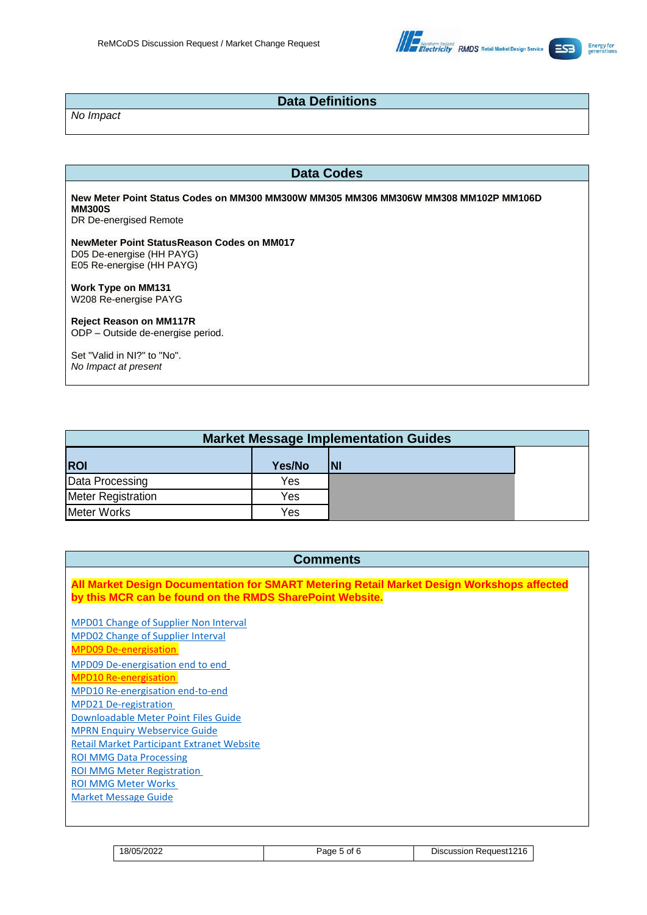

# **Data Definitions**

*No Impact*

## **Data Codes**

**New Meter Point Status Codes on MM300 MM300W MM305 MM306 MM306W MM308 MM102P MM106D MM300S**

DR De-energised Remote

## **NewMeter Point StatusReason Codes on MM017** D05 De-energise (HH PAYG) E05 Re-energise (HH PAYG)

**Work Type on MM131** W208 Re-energise PAYG

## **Reject Reason on MM117R**

ODP – Outside de-energise period.

Set "Valid in NI?" to "No". *No Impact at present*

| <b>Market Message Implementation Guides</b> |        |           |  |
|---------------------------------------------|--------|-----------|--|
| <b>ROI</b>                                  | Yes/No | <b>NI</b> |  |
| Data Processing                             | Yes    |           |  |
| <b>Meter Registration</b>                   | Yes    |           |  |
| <b>Meter Works</b>                          | Yes    |           |  |

# **Comments All Market Design Documentation for SMART Metering Retail Market Design Workshops affected by this MCR can be found on the RMDS SharePoint Website.** [MPD01 Change of Supplier Non Interval](https://electricitysupplyboard.sharepoint.com/sites/ESBNTWKS/rmds/Supplier%20Queries%20for%20SMART/Forms/AllItems.aspx?originalPath=aHR0cHM6Ly9lbGVjdHJpY2l0eXN1cHBseWJvYXJkLnNoYXJlcG9pbnQuY29tLzpmOi9zL0VTQk5UV0tTL3JtZHMvRW9OY1g4d1Bxb2RGbmVCS2VycW5jb1FCQkRjNzkxUDBkc2pCOWVXV0x6TEZyZz9ydGltZT1VdHhpekQ4djJVZw&id=%2Fsites%2FESBNTWKS%2Frmds%2FSupplier%20Queries%20for%20SMART%2FDraft%20v14%20Market%20Documentation%2FMPDs%2FMPD%2001%20CoS%20Non%20Interval%5FV14%20Working%20Draft%2Epdf&parent=%2Fsites%2FESBNTWKS%2Frmds%2FSupplier%20Queries%20for%20SMART%2FDraft%20v14%20Market%20Documentation%2FMPDs) [MPD02 Change of Supplier Interval](https://electricitysupplyboard.sharepoint.com/sites/ESBNTWKS/rmds/Supplier%20Queries%20for%20SMART/Forms/AllItems.aspx?originalPath=aHR0cHM6Ly9lbGVjdHJpY2l0eXN1cHBseWJvYXJkLnNoYXJlcG9pbnQuY29tLzpmOi9zL0VTQk5UV0tTL3JtZHMvRW9OY1g4d1Bxb2RGbmVCS2VycW5jb1FCQkRjNzkxUDBkc2pCOWVXV0x6TEZyZz9ydGltZT1VdHhpekQ4djJVZw&id=%2Fsites%2FESBNTWKS%2Frmds%2FSupplier%20Queries%20for%20SMART%2FDraft%20v14%20Market%20Documentation%2FMPDs%2FMPD%2002%20Change%20of%20Supplier%20QH%20%2D%20Working%20Draft%20v14%20%281%29%2Epdf&parent=%2Fsites%2FESBNTWKS%2Frmds%2FSupplier%20Queries%20for%20SMART%2FDraft%20v14%20Market%20Documentation%2FMPDs) [MPD09 De-energisation](https://electricitysupplyboard.sharepoint.com/sites/ESBNTWKS/rmds/Supplier%20Queries%20for%20SMART/Forms/AllItems.aspx?originalPath=aHR0cHM6Ly9lbGVjdHJpY2l0eXN1cHBseWJvYXJkLnNoYXJlcG9pbnQuY29tLzpmOi9zL0VTQk5UV0tTL3JtZHMvRW9OY1g4d1Bxb2RGbmVCS2VycW5jb1FCQkRjNzkxUDBkc2pCOWVXV0x6TEZyZz9ydGltZT1VdHhpekQ4djJVZw&id=%2Fsites%2FESBNTWKS%2Frmds%2FSupplier%20Queries%20for%20SMART%2FDraft%20v14%20Market%20Documentation%2FMPDs%2FMPD%2009%20De%2DEnergisation%5FV14%20Working%20Draft%20V1%2E2%2Epdf&parent=%2Fsites%2FESBNTWKS%2Frmds%2FSupplier%20Queries%20for%20SMART%2FDraft%20v14%20Market%20Documentation%2FMPDs) [MPD09 De-energisation end](https://electricitysupplyboard.sharepoint.com/sites/ESBNTWKS/rmds/Supplier%20Queries%20for%20SMART/Forms/AllItems.aspx?originalPath=aHR0cHM6Ly9lbGVjdHJpY2l0eXN1cHBseWJvYXJkLnNoYXJlcG9pbnQuY29tLzpmOi9zL0VTQk5UV0tTL3JtZHMvRW9OY1g4d1Bxb2RGbmVCS2VycW5jb1FCQkRjNzkxUDBkc2pCOWVXV0x6TEZyZz9ydGltZT1VdHhpekQ4djJVZw&id=%2Fsites%2FESBNTWKS%2Frmds%2FSupplier%20Queries%20for%20SMART%2FDraft%20v14%20Market%20Documentation%2FMPDs%2FMPD%2009%20De%2DEnergise%20End%20to%20End%20Working%20Draft%20v14%2Epdf&parent=%2Fsites%2FESBNTWKS%2Frmds%2FSupplier%20Queries%20for%20SMART%2FDraft%20v14%20Market%20Documentation%2FMPDs) to end [MPD10 Re-energisation](https://electricitysupplyboard.sharepoint.com/sites/ESBNTWKS/rmds/Supplier%20Queries%20for%20SMART/Forms/AllItems.aspx?originalPath=aHR0cHM6Ly9lbGVjdHJpY2l0eXN1cHBseWJvYXJkLnNoYXJlcG9pbnQuY29tLzpmOi9zL0VTQk5UV0tTL3JtZHMvRW9OY1g4d1Bxb2RGbmVCS2VycW5jb1FCQkRjNzkxUDBkc2pCOWVXV0x6TEZyZz9ydGltZT1VdHhpekQ4djJVZw&id=%2Fsites%2FESBNTWKS%2Frmds%2FSupplier%20Queries%20for%20SMART%2FDraft%20v14%20Market%20Documentation%2FMPDs%2FMPD%2010%20Re%20Energise%5Fv14%20Working%20Draft%20V1%2E2%2Epdf&parent=%2Fsites%2FESBNTWKS%2Frmds%2FSupplier%20Queries%20for%20SMART%2FDraft%20v14%20Market%20Documentation%2FMPDs) [MPD10 Re-energisation end-to-end](https://electricitysupplyboard.sharepoint.com/sites/ESBNTWKS/rmds/Supplier%20Queries%20for%20SMART/Forms/AllItems.aspx?originalPath=aHR0cHM6Ly9lbGVjdHJpY2l0eXN1cHBseWJvYXJkLnNoYXJlcG9pbnQuY29tLzpmOi9zL0VTQk5UV0tTL3JtZHMvRW9OY1g4d1Bxb2RGbmVCS2VycW5jb1FCQkRjNzkxUDBkc2pCOWVXV0x6TEZyZz9ydGltZT1VdHhpekQ4djJVZw&id=%2Fsites%2FESBNTWKS%2Frmds%2FSupplier%20Queries%20for%20SMART%2FDraft%20v14%20Market%20Documentation%2FMPDs%2FMPD%2010%20Re%2DEnergise%20End%20to%20End%20Working%20Draft%20v14%2Epdf&parent=%2Fsites%2FESBNTWKS%2Frmds%2FSupplier%20Queries%20for%20SMART%2FDraft%20v14%20Market%20Documentation%2FMPDs) [MPD21 De-registration](https://electricitysupplyboard.sharepoint.com/sites/ESBNTWKS/rmds/Supplier%20Queries%20for%20SMART/Forms/AllItems.aspx?originalPath=aHR0cHM6Ly9lbGVjdHJpY2l0eXN1cHBseWJvYXJkLnNoYXJlcG9pbnQuY29tLzpmOi9zL0VTQk5UV0tTL3JtZHMvRW9OY1g4d1Bxb2RGbmVCS2VycW5jb1FCQkRjNzkxUDBkc2pCOWVXV0x6TEZyZz9ydGltZT1VdHhpekQ4djJVZw&id=%2Fsites%2FESBNTWKS%2Frmds%2FSupplier%20Queries%20for%20SMART%2FDraft%20v14%20Market%20Documentation%2FMPDs%2FMPD%2021%20De%2DRegistration%2Epdf&parent=%2Fsites%2FESBNTWKS%2Frmds%2FSupplier%20Queries%20for%20SMART%2FDraft%20v14%20Market%20Documentation%2FMPDs) [Downloadable Meter Point Files Guide](https://electricitysupplyboard.sharepoint.com/:x:/r/sites/ESBNTWKS/rmds/_layouts/15/Doc.aspx?sourcedoc=%7BEE88FBAA-425F-4EBD-9905-9CBF5DEE1CC1%7D&file=Downloadable%20Meter%20Point%20Files%20Guide%20Working%20Draft%20v14%20External.xlsx&action=default&mobileredirect=true) [MPRN Enquiry Webservice Guide](https://electricitysupplyboard.sharepoint.com/sites/ESBNTWKS/rmds/Supplier%20Queries%20for%20SMART/Forms/AllItems.aspx?originalPath=aHR0cHM6Ly9lbGVjdHJpY2l0eXN1cHBseWJvYXJkLnNoYXJlcG9pbnQuY29tLzpmOi9zL0VTQk5UV0tTL3JtZHMvRW9OY1g4d1Bxb2RGbmVCS2VycW5jb1FCQkRjNzkxUDBkc2pCOWVXV0x6TEZyZz9ydGltZT1VdHhpekQ4djJVZw&id=%2Fsites%2FESBNTWKS%2Frmds%2FSupplier%20Queries%20for%20SMART%2FDraft%20v14%20Market%20Documentation%2FBriefing%20Documents%2FMPRN%20Enquiry%20Web%20Service%20Guide%20Working%20Draft%20v14%20External%2Epdf&parent=%2Fsites%2FESBNTWKS%2Frmds%2FSupplier%20Queries%20for%20SMART%2FDraft%20v14%20Market%20Documentation%2FBriefing%20Documents) [Retail Market Participant Extranet Website](https://electricitysupplyboard.sharepoint.com/sites/ESBNTWKS/rmds/Supplier%20Queries%20for%20SMART/Forms/AllItems.aspx?originalPath=aHR0cHM6Ly9lbGVjdHJpY2l0eXN1cHBseWJvYXJkLnNoYXJlcG9pbnQuY29tLzpmOi9zL0VTQk5UV0tTL3JtZHMvRW9OY1g4d1Bxb2RGbmVCS2VycW5jb1FCQkRjNzkxUDBkc2pCOWVXV0x6TEZyZz9ydGltZT1VdHhpekQ4djJVZw&id=%2Fsites%2FESBNTWKS%2Frmds%2FSupplier%20Queries%20for%20SMART%2FDraft%20v14%20Market%20Documentation%2FBriefing%20Documents%2FRetail%20Market%20Participant%20Extranet%20Website%20Guide%5Fv14%20Working%20Draft%20%2Epdf&parent=%2Fsites%2FESBNTWKS%2Frmds%2FSupplier%20Queries%20for%20SMART%2FDraft%20v14%20Market%20Documentation%2FBriefing%20Documents) [ROI MMG Data Processing](https://electricitysupplyboard.sharepoint.com/sites/ESBNTWKS/rmds/Supplier%20Queries%20for%20SMART/Forms/AllItems.aspx?originalPath=aHR0cHM6Ly9lbGVjdHJpY2l0eXN1cHBseWJvYXJkLnNoYXJlcG9pbnQuY29tLzpmOi9zL0VTQk5UV0tTL3JtZHMvRW9OY1g4d1Bxb2RGbmVCS2VycW5jb1FCQkRjNzkxUDBkc2pCOWVXV0x6TEZyZz9ydGltZT1VdHhpekQ4djJVZw&id=%2Fsites%2FESBNTWKS%2Frmds%2FSupplier%20Queries%20for%20SMART%2FDeenergisation%20%26%20Reenergisation%20MCR%2FMarket%20Documents%2FROI%20Market%20Message%20Guide%20%2D%20Data%20Processing%20V5%2E1%20External%2Epdf&parent=%2Fsites%2FESBNTWKS%2Frmds%2FSupplier%20Queries%20for%20SMART%2FDeenergisation%20%26%20Reenergisation%20MCR%2FMarket%20Documents) [ROI MMG Meter Registration](https://electricitysupplyboard.sharepoint.com/sites/ESBNTWKS/rmds/Supplier%20Queries%20for%20SMART/Forms/AllItems.aspx?id=%2Fsites%2FESBNTWKS%2Frmds%2FSupplier%20Queries%20for%20SMART%2FDraft%20v14%20Market%20Documentation%2FMarket%20Message%20Guides%2FMarket%20Message%20Guide%20%2D%20Data%20Processing%20%5FV14%20Working%20Draft%2Epdf&parent=%2Fsites%2FESBNTWKS%2Frmds%2FSupplier%20Queries%20for%20SMART%2FDraft%20v14%20Market%20Documentation%2FMarket%20Message%20Guides) [ROI MMG Meter](https://electricitysupplyboard.sharepoint.com/sites/ESBNTWKS/rmds/Supplier%20Queries%20for%20SMART/Forms/AllItems.aspx?id=%2Fsites%2FESBNTWKS%2Frmds%2FSupplier%20Queries%20for%20SMART%2FDraft%20v14%20Market%20Documentation%2FMarket%20Message%20Guides%2FMarket%20Message%20Guide%20%2D%20Data%20Processing%20%5FV14%20Working%20Draft%2Epdf&parent=%2Fsites%2FESBNTWKS%2Frmds%2FSupplier%20Queries%20for%20SMART%2FDraft%20v14%20Market%20Documentation%2FMarket%20Message%20Guides) Works [Market Message Guide](https://electricitysupplyboard.sharepoint.com/:x:/r/sites/ESBNTWKS/rmds/_layouts/15/Doc.aspx?sourcedoc=%7B7792BFFE-2953-4A33-BC0C-A90873023D85%7D&file=Market-Schema-Guide%20_v14%20Working%20Draft.xlsx&action=default&mobileredirect=true&cid=210f7053-27fa-4c72-8129-e5020efdd415)

| 18/05/2022 | aae<br>Οt | Request1216<br>Discussion |
|------------|-----------|---------------------------|
|------------|-----------|---------------------------|